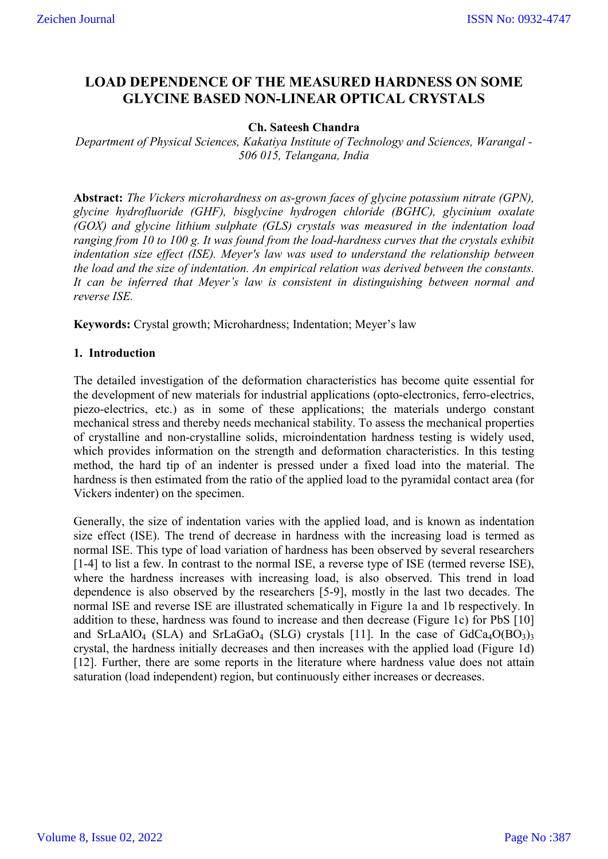# **LOAD DEPENDENCE OF THE MEASURED HARDNESS ON SOME GLYCINE BASED NON-LINEAR OPTICAL CRYSTALS**

## **Ch. Sateesh Chandra**

*Department of Physical Sciences, Kakatiya Institute of Technology and Sciences, Warangal - 506 015, Telangana, India*

**Abstract:** *The Vickers microhardness on as-grown faces of glycine potassium nitrate (GPN), glycine hydrofluoride (GHF), bisglycine hydrogen chloride (BGHC), glycinium oxalate (GOX) and glycine lithium sulphate (GLS) crystals was measured in the indentation load ranging from 10 to 100 g. It was found from the load-hardness curves that the crystals exhibit indentation size effect (ISE). Meyer's law was used to understand the relationship between the load and the size of indentation. An empirical relation was derived between the constants. It can be inferred that Meyer's law is consistent in distinguishing between normal and reverse ISE.*

**Keywords:** Crystal growth; Microhardness; Indentation; Meyer's law

## **1. Introduction**

The detailed investigation of the deformation characteristics has become quite essential for the development of new materials for industrial applications (opto-electronics, ferro-electrics, piezo-electrics, etc.) as in some of these applications; the materials undergo constant mechanical stress and thereby needs mechanical stability. To assess the mechanical properties of crystalline and non-crystalline solids, microindentation hardness testing is widely used, which provides information on the strength and deformation characteristics. In this testing method, the hard tip of an indenter is pressed under a fixed load into the material. The hardness is then estimated from the ratio of the applied load to the pyramidal contact area (for Vickers indenter) on the specimen.

Generally, the size of indentation varies with the applied load, and is known as indentation size effect (ISE). The trend of decrease in hardness with the increasing load is termed as normal ISE. This type of load variation of hardness has been observed by several researchers [1-4] to list a few. In contrast to the normal ISE, a reverse type of ISE (termed reverse ISE). where the hardness increases with increasing load, is also observed. This trend in load dependence is also observed by the researchers [5-9], mostly in the last two decades. The normal ISE and reverse ISE are illustrated schematically in Figure 1a and 1b respectively. In addition to these, hardness was found to increase and then decrease (Figure 1c) for PbS [10] and SrLaAlO<sub>4</sub> (SLA) and SrLaGaO<sub>4</sub> (SLG) crystals [11]. In the case of  $GdCa_4O(BO_3)$ <sub>3</sub> crystal, the hardness initially decreases and then increases with the applied load (Figure 1d) [12]. Further, there are some reports in the literature where hardness value does not attain saturation (load independent) region, but continuously either increases or decreases.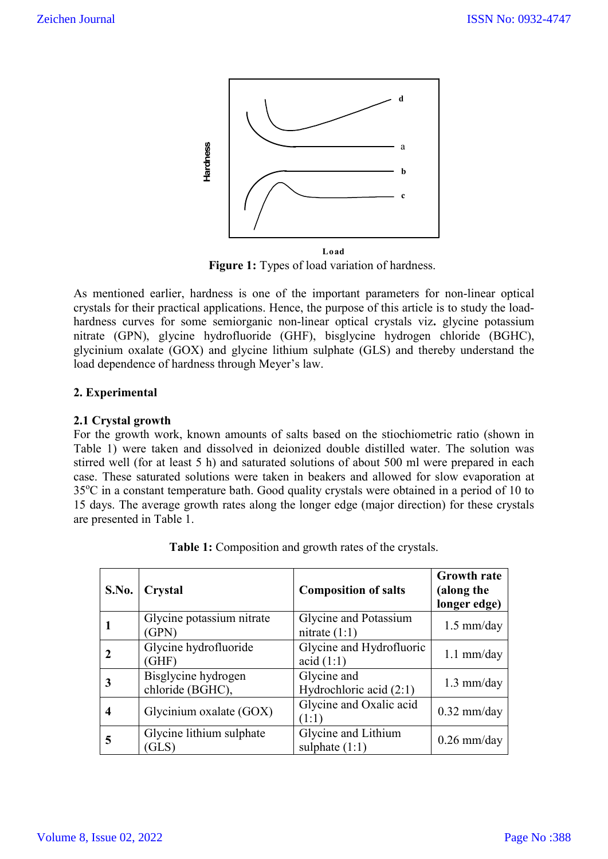

**Figure 1:** Types of load variation of hardness.

As mentioned earlier, hardness is one of the important parameters for non-linear optical crystals for their practical applications. Hence, the purpose of this article is to study the loadhardness curves for some semiorganic non-linear optical crystals viz**.** glycine potassium nitrate (GPN), glycine hydrofluoride (GHF), bisglycine hydrogen chloride (BGHC), glycinium oxalate (GOX) and glycine lithium sulphate (GLS) and thereby understand the load dependence of hardness through Meyer's law.

## **2. Experimental**

## **2.1 Crystal growth**

For the growth work, known amounts of salts based on the stiochiometric ratio (shown in Table 1) were taken and dissolved in deionized double distilled water. The solution was stirred well (for at least 5 h) and saturated solutions of about 500 ml were prepared in each case. These saturated solutions were taken in beakers and allowed for slow evaporation at 35°C in a constant temperature bath. Good quality crystals were obtained in a period of 10 to 15 days. The average growth rates along the longer edge (major direction) for these crystals are presented in Table 1.

| <b>S.No.</b> | Crystal                                 | <b>Composition of salts</b>              | <b>Growth rate</b><br>(along the<br>longer edge) |
|--------------|-----------------------------------------|------------------------------------------|--------------------------------------------------|
|              | Glycine potassium nitrate<br>(GPN)      | Glycine and Potassium<br>nitrate $(1:1)$ | $1.5$ mm/day                                     |
|              | Glycine hydrofluoride<br>(GHF)          | Glycine and Hydrofluoric<br>acid (1:1)   | $1.1$ mm/day                                     |
|              | Bisglycine hydrogen<br>chloride (BGHC), | Glycine and<br>Hydrochloric acid (2:1)   | $1.3$ mm/day                                     |
| 4            | Glycinium oxalate (GOX)                 | Glycine and Oxalic acid<br>(1:1)         | $0.32$ mm/day                                    |
| 5            | Glycine lithium sulphate<br>(GLS)       | Glycine and Lithium<br>sulphate $(1:1)$  | $0.26$ mm/day                                    |

|  | Table 1: Composition and growth rates of the crystals. |
|--|--------------------------------------------------------|
|  |                                                        |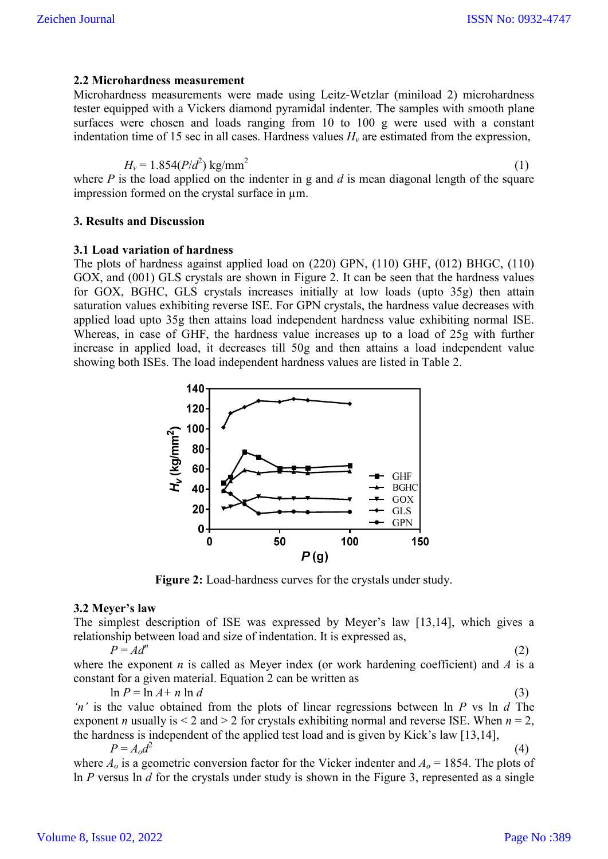### **2.2 Microhardness measurement**

Microhardness measurements were made using Leitz-Wetzlar (miniload 2) microhardness tester equipped with a Vickers diamond pyramidal indenter. The samples with smooth plane surfaces were chosen and loads ranging from 10 to 100 g were used with a constant indentation time of 15 sec in all cases. Hardness values  $H<sub>v</sub>$  are estimated from the expression,

$$
H_v = 1.854(P/d^2) \text{ kg/mm}^2
$$
 (1)

where *P* is the load applied on the indenter in g and *d* is mean diagonal length of the square impression formed on the crystal surface in µm.

## **3. Results and Discussion**

#### **3.1 Load variation of hardness**

The plots of hardness against applied load on (220) GPN, (110) GHF, (012) BHGC, (110) GOX, and (001) GLS crystals are shown in Figure 2. It can be seen that the hardness values for GOX, BGHC, GLS crystals increases initially at low loads (upto 35g) then attain saturation values exhibiting reverse ISE. For GPN crystals, the hardness value decreases with applied load upto 35g then attains load independent hardness value exhibiting normal ISE. Whereas, in case of GHF, the hardness value increases up to a load of 25g with further increase in applied load, it decreases till 50g and then attains a load independent value showing both ISEs. The load independent hardness values are listed in Table 2.



**Figure 2:** Load-hardness curves for the crystals under study.

#### **3.2 Meyer's law**

The simplest description of ISE was expressed by Meyer's law [13,14], which gives a relationship between load and size of indentation. It is expressed as,

 $P = Ad^n$  (2) where the exponent *n* is called as Meyer index (or work hardening coefficient) and *A* is a constant for a given material. Equation 2 can be written as

 $\ln P = \ln A + n \ln d$  (3)

*'n'* is the value obtained from the plots of linear regressions between ln *P* vs ln *d* The exponent *n* usually is  $\leq 2$  and  $\geq 2$  for crystals exhibiting normal and reverse ISE. When  $n = 2$ , the hardness is independent of the applied test load and is given by Kick's law [13,14],  $P = A_0 d^2$  (4)

where  $A_0$  is a geometric conversion factor for the Vicker indenter and  $A_0 = 1854$ . The plots of ln *P* versus ln *d* for the crystals under study is shown in the Figure 3, represented as a single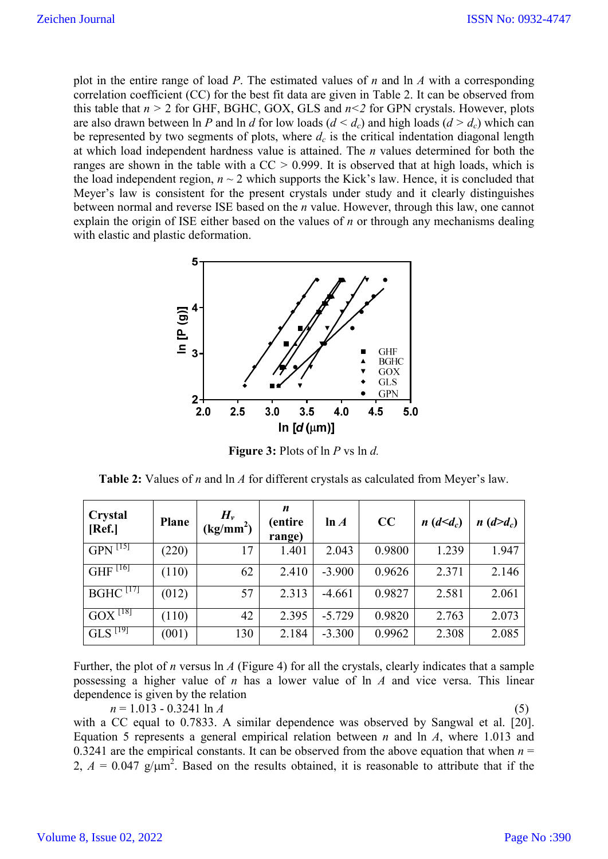plot in the entire range of load *P*. The estimated values of *n* and ln *A* with a corresponding correlation coefficient (CC) for the best fit data are given in Table 2. It can be observed from this table that  $n > 2$  for GHF, BGHC, GOX, GLS and  $n < 2$  for GPN crystals. However, plots are also drawn between ln *P* and ln *d* for low loads  $(d < d_c)$  and high loads  $(d > d_c)$  which can be represented by two segments of plots, where  $d_c$  is the critical indentation diagonal length at which load independent hardness value is attained. The *n* values determined for both the ranges are shown in the table with a CC *>* 0.999. It is observed that at high loads, which is the load independent region,  $n \sim 2$  which supports the Kick's law. Hence, it is concluded that Meyer's law is consistent for the present crystals under study and it clearly distinguishes between normal and reverse ISE based on the *n* value. However, through this law, one cannot explain the origin of ISE either based on the values of *n* or through any mechanisms dealing with elastic and plastic deformation.



**Figure 3:** Plots of ln *P* vs ln *d.*

| <b>Table 2:</b> Values of <i>n</i> and $\ln A$ for different crystals as calculated from Meyer's law. |  |  |
|-------------------------------------------------------------------------------------------------------|--|--|
|-------------------------------------------------------------------------------------------------------|--|--|

| Crystal<br>[Ref.]    | <b>Plane</b> | $H_{\nu}$<br>(kg/mm <sup>2</sup> ) | n<br>(entire<br>range) | ln A     | CC     | $n(d \leq d_c)$ | $n(d>d_c)$ |
|----------------------|--------------|------------------------------------|------------------------|----------|--------|-----------------|------------|
| $GPN^{[15]}$         | (220)        | 17                                 | 1.401                  | 2.043    | 0.9800 | 1.239           | 1.947      |
| $GHF$ [16]           | (110)        | 62                                 | 2.410                  | $-3.900$ | 0.9626 | 2.371           | 2.146      |
| BGHC <sup>[17]</sup> | (012)        | 57                                 | 2.313                  | $-4.661$ | 0.9827 | 2.581           | 2.061      |
| $GOX^{[18]}$         | (110)        | 42                                 | 2.395                  | $-5.729$ | 0.9820 | 2.763           | 2.073      |
| $GLS^{T19}$          | (001)        | 130                                | 2.184                  | $-3.300$ | 0.9962 | 2.308           | 2.085      |

Further, the plot of *n* versus ln *A* (Figure 4) for all the crystals, clearly indicates that a sample possessing a higher value of *n* has a lower value of ln *A* and vice versa. This linear dependence is given by the relation

 $n = 1.013 - 0.3241 \ln A$  (5) with a CC equal to 0.7833. A similar dependence was observed by Sangwal et al. [20]. Equation 5 represents a general empirical relation between *n* and ln *A*, where 1.013 and 0.3241 are the empirical constants. It can be observed from the above equation that when  $n =$ 2,  $A = 0.047$  g/ $\mu$ m<sup>2</sup>. Based on the results obtained, it is reasonable to attribute that if the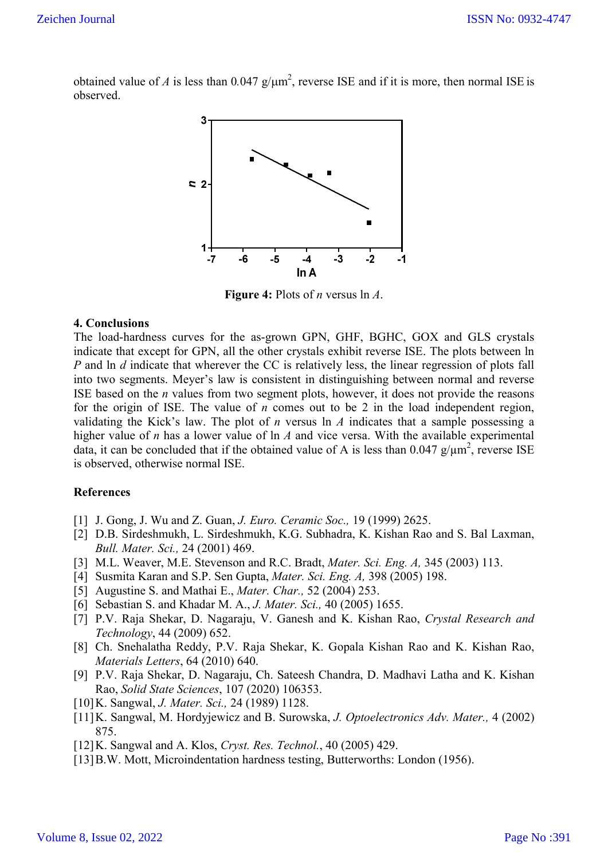obtained value of *A* is less than  $0.047$  g/ $\mu$ m<sup>2</sup>, reverse ISE and if it is more, then normal ISE is observed.



**Figure 4:** Plots of *n* versus ln *A*.

### **4. Conclusions**

The load-hardness curves for the as-grown GPN, GHF, BGHC, GOX and GLS crystals indicate that except for GPN, all the other crystals exhibit reverse ISE. The plots between ln *P* and ln *d* indicate that wherever the CC is relatively less, the linear regression of plots fall into two segments. Meyer's law is consistent in distinguishing between normal and reverse ISE based on the *n* values from two segment plots, however, it does not provide the reasons for the origin of ISE. The value of *n* comes out to be 2 in the load independent region, validating the Kick's law. The plot of *n* versus ln *A* indicates that a sample possessing a higher value of *n* has a lower value of ln *A* and vice versa. With the available experimental data, it can be concluded that if the obtained value of A is less than  $0.047 \text{ g}/\mu\text{m}^2$ , reverse ISE is observed, otherwise normal ISE.

### **References**

- [1] J. Gong, J. Wu and Z. Guan, *J. Euro. Ceramic Soc.,* 19 (1999) 2625.
- [2] D.B. Sirdeshmukh, L. Sirdeshmukh, K.G. Subhadra, K. Kishan Rao and S. Bal Laxman, *Bull. Mater. Sci.,* 24 (2001) 469.
- [3] M.L. Weaver, M.E. Stevenson and R.C. Bradt, *Mater. Sci. Eng. A,* 345 (2003) 113.
- [4] Susmita Karan and S.P. Sen Gupta, *Mater. Sci. Eng. A,* 398 (2005) 198.
- [5] Augustine S. and Mathai E., *Mater. Char.,* 52 (2004) 253.
- [6] Sebastian S. and Khadar M. A., *J. Mater. Sci.,* 40 (2005) 1655.
- [7] P.V. Raja Shekar, D. Nagaraju, V. Ganesh and K. Kishan Rao, *Crystal Research and Technology*, 44 (2009) 652.
- [8] Ch. Snehalatha Reddy, P.V. Raja Shekar, K. Gopala Kishan Rao and K. Kishan Rao, *Materials Letters*, 64 (2010) 640.
- [9] P.V. Raja Shekar, D. Nagaraju, Ch. Sateesh Chandra, D. Madhavi Latha and K. Kishan Rao, *Solid State Sciences*, 107 (2020) 106353.
- [10]K. Sangwal, *J. Mater. Sci.,* 24 (1989) 1128.
- [11]K. Sangwal, M. Hordyjewicz and B. Surowska, *J. Optoelectronics Adv. Mater.,* 4 (2002) 875.
- [12]K. Sangwal and A. Klos, *Cryst. Res. Technol.*, 40 (2005) 429.
- [13] B.W. Mott, Microindentation hardness testing, Butterworths: London (1956).